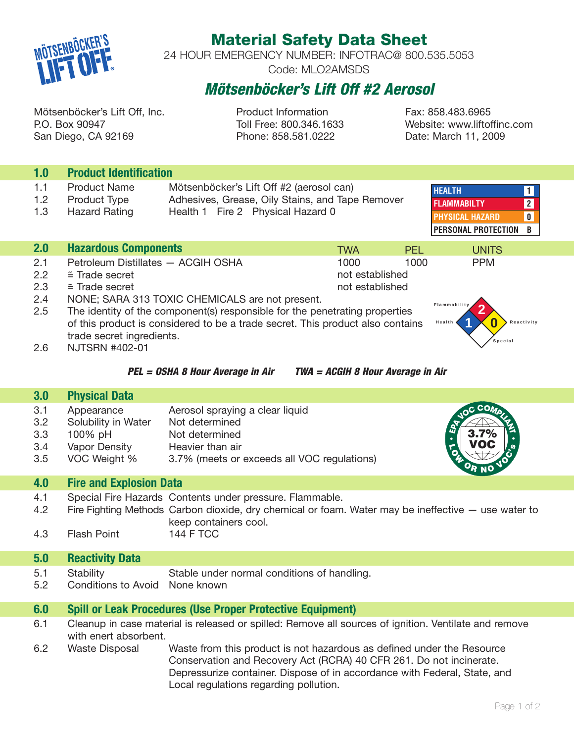

# **Material Safety Data Sheet**

24 HOUR EMERGENCY NUMBER: INFOTRAC@ 800.535.5053 Code: MLO2AMSDS

# **Mötsenböcker's Lift Off #2 Aerosol**

Mötsenböcker's Lift Off, Inc. The Product Information Fax: 858.483.6965 P.O. Box 90947 Toll Free: 800.346.1633 Website: www.liftoffinc.com San Diego, CA 92169 Phone: 858.581.0222 Date: March 11, 2009

| 1.0                             | <b>Product Identification</b>                                                                                                                                                                                                                                                                        |                                                                                                                                                                                                                                                                               |            |            |              |
|---------------------------------|------------------------------------------------------------------------------------------------------------------------------------------------------------------------------------------------------------------------------------------------------------------------------------------------------|-------------------------------------------------------------------------------------------------------------------------------------------------------------------------------------------------------------------------------------------------------------------------------|------------|------------|--------------|
| 1.1<br>1.2<br>1.3               | <b>Product Name</b><br>Product Type<br><b>Hazard Rating</b>                                                                                                                                                                                                                                          | Mötsenböcker's Lift Off #2 (aerosol can)<br><b>HEALTH</b><br>$\mathbf{1}$<br>Adhesives, Grease, Oily Stains, and Tape Remover<br>$\mathbf{2}$<br><b>FLAMMABILTY</b><br>Health 1 Fire 2 Physical Hazard 0<br><b>PHYSICAL HAZARD</b><br>$\mathbf 0$<br>PERSONAL PROTECTION<br>B |            |            |              |
| 2.0                             | <b>Hazardous Components</b>                                                                                                                                                                                                                                                                          |                                                                                                                                                                                                                                                                               | <b>TWA</b> | <b>PFI</b> | <b>UNITS</b> |
| 2.1<br>2.2<br>2.3<br>2.4<br>2.5 | Petroleum Distillates - ACGIH OSHA<br>1000<br>1000<br><b>PPM</b><br>$\cong$ Trade secret<br>not established<br>$=$ Trade secret<br>not established<br>NONE; SARA 313 TOXIC CHEMICALS are not present.<br>Flammability<br>The identity of the component(s) responsible for the penetrating properties |                                                                                                                                                                                                                                                                               |            | Reactivity |              |
| 2.6                             | of this product is considered to be a trade secret. This product also contains<br>Health<br>trade secret ingredients.<br>Special<br><b>NJTSRN #402-01</b><br>PEL = OSHA 8 Hour Average in Air<br>TWA = ACGIH 8 Hour Average in Air                                                                   |                                                                                                                                                                                                                                                                               |            |            |              |
|                                 |                                                                                                                                                                                                                                                                                                      |                                                                                                                                                                                                                                                                               |            |            |              |
| 3.0                             |                                                                                                                                                                                                                                                                                                      |                                                                                                                                                                                                                                                                               |            |            |              |
| 3.1<br>3.2<br>3.3<br>3.4<br>3.5 | <b>Physical Data</b><br>Appearance<br>Solubility in Water<br>100% pH<br>Vapor Density<br>VOC Weight %                                                                                                                                                                                                | Aerosol spraying a clear liquid<br>Not determined<br>Not determined<br>Heavier than air<br>3.7% (meets or exceeds all VOC regulations)                                                                                                                                        |            |            | <b>CO</b>    |
| 4.0                             | <b>Fire and Explosion Data</b>                                                                                                                                                                                                                                                                       |                                                                                                                                                                                                                                                                               |            |            |              |
| 4.1<br>4.2<br>4.3               | <b>Flash Point</b>                                                                                                                                                                                                                                                                                   | Special Fire Hazards Contents under pressure. Flammable.<br>Fire Fighting Methods Carbon dioxide, dry chemical or foam. Water may be ineffective — use water to<br>keep containers cool.<br><b>144 F TCC</b>                                                                  |            |            |              |

# **5.0 Reactivity Data**

- 5.1 Stability Stable under normal conditions of handling.
- 5.2 Conditions to Avoid None known

## **6.0 Spill or Leak Procedures (Use Proper Protective Equipment)**

- 6.1 Cleanup in case material is released or spilled: Remove all sources of ignition. Ventilate and remove with enert absorbent.
- 6.2 Waste Disposal Waste from this product is not hazardous as defined under the Resource Conservation and Recovery Act (RCRA) 40 CFR 261. Do not incinerate. Depressurize container. Dispose of in accordance with Federal, State, and Local regulations regarding pollution.